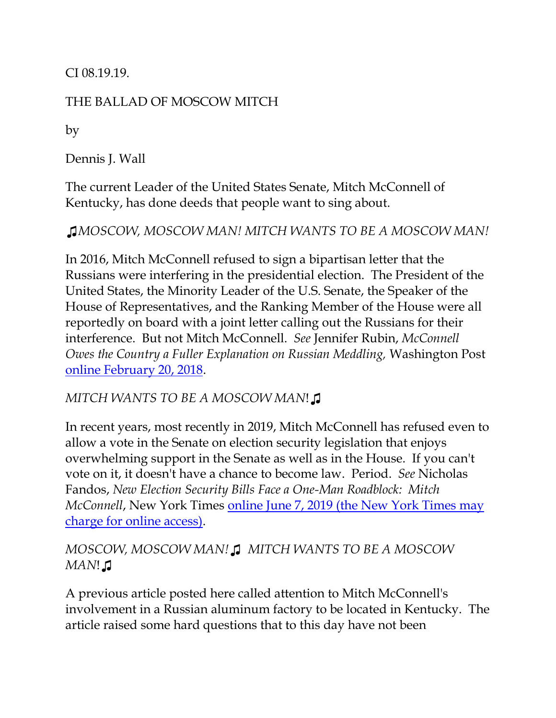CI 08.19.19.

## THE BALLAD OF MOSCOW MITCH

by

Dennis J. Wall

The current Leader of the United States Senate, Mitch McConnell of Kentucky, has done deeds that people want to sing about.

*♫MOSCOW, MOSCOW MAN! MITCH WANTS TO BE A MOSCOW MAN!*

In 2016, Mitch McConnell refused to sign a bipartisan letter that the Russians were interfering in the presidential election. The President of the United States, the Minority Leader of the U.S. Senate, the Speaker of the House of Representatives, and the Ranking Member of the House were all reportedly on board with a joint letter calling out the Russians for their interference. But not Mitch McConnell. *See* Jennifer Rubin, *McConnell Owes the Country a Fuller Explanation on Russian Meddling,* Washington Post [online February 20, 2018.](https://www.washingtonpost.com/blogs/right-turn/wp/2018/02/20/mcconnell-owes-the-country-a-fuller-explanation-on-russian-meddling/)

## *MITCH WANTS TO BE A MOSCOW MAN*!♫

In recent years, most recently in 2019, Mitch McConnell has refused even to allow a vote in the Senate on election security legislation that enjoys overwhelming support in the Senate as well as in the House. If you can't vote on it, it doesn't have a chance to become law. Period. *See* Nicholas Fandos, *New Election Security Bills Face a One-Man Roadblock: Mitch McConnell*, New York Times online June [7, 2019 \(the New York Times may](https://www.nytimes.com/2019/06/07/us/politics/election-security-mitch-mcconnell.html?auth=login-email&login=email)  [charge for online access\).](https://www.nytimes.com/2019/06/07/us/politics/election-security-mitch-mcconnell.html?auth=login-email&login=email)

*MOSCOW, MOSCOW MAN!♫ MITCH WANTS TO BE A MOSCOW MAN*!♫

A previous article posted here called attention to Mitch McConnell's involvement in a Russian aluminum factory to be located in Kentucky. The article raised some hard questions that to this day have not been